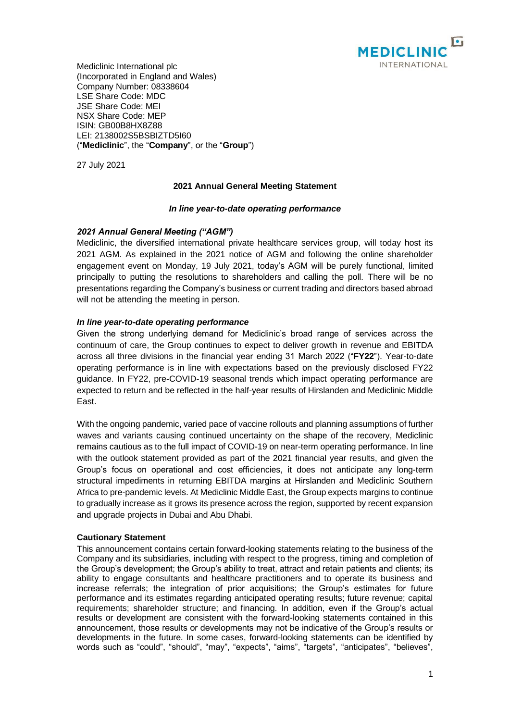

Mediclinic International plc (Incorporated in England and Wales) Company Number: 08338604 LSE Share Code: MDC JSE Share Code: MEI NSX Share Code: MEP ISIN: GB00B8HX8Z88 LEI: 2138002S5BSBIZTD5I60 ("**Mediclinic**", the "**Company**", or the "**Group**")

27 July 2021

# **2021 Annual General Meeting Statement**

#### *In line year-to-date operating performance*

# *2021 Annual General Meeting ("AGM")*

Mediclinic, the diversified international private healthcare services group, will today host its 2021 AGM. As explained in the 2021 notice of AGM and following the online shareholder engagement event on Monday, 19 July 2021, today's AGM will be purely functional, limited principally to putting the resolutions to shareholders and calling the poll. There will be no presentations regarding the Company's business or current trading and directors based abroad will not be attending the meeting in person.

# *In line year-to-date operating performance*

Given the strong underlying demand for Mediclinic's broad range of services across the continuum of care, the Group continues to expect to deliver growth in revenue and EBITDA across all three divisions in the financial year ending 31 March 2022 ("**FY22**"). Year-to-date operating performance is in line with expectations based on the previously disclosed FY22 guidance. In FY22, pre-COVID-19 seasonal trends which impact operating performance are expected to return and be reflected in the half-year results of Hirslanden and Mediclinic Middle East.

With the ongoing pandemic, varied pace of vaccine rollouts and planning assumptions of further waves and variants causing continued uncertainty on the shape of the recovery, Mediclinic remains cautious as to the full impact of COVID-19 on near-term operating performance. In line with the outlook statement provided as part of the 2021 financial year results, and given the Group's focus on operational and cost efficiencies, it does not anticipate any long-term structural impediments in returning EBITDA margins at Hirslanden and Mediclinic Southern Africa to pre-pandemic levels. At Mediclinic Middle East, the Group expects margins to continue to gradually increase as it grows its presence across the region, supported by recent expansion and upgrade projects in Dubai and Abu Dhabi.

#### **Cautionary Statement**

This announcement contains certain forward-looking statements relating to the business of the Company and its subsidiaries, including with respect to the progress, timing and completion of the Group's development; the Group's ability to treat, attract and retain patients and clients; its ability to engage consultants and healthcare practitioners and to operate its business and increase referrals; the integration of prior acquisitions; the Group's estimates for future performance and its estimates regarding anticipated operating results; future revenue; capital requirements; shareholder structure; and financing. In addition, even if the Group's actual results or development are consistent with the forward-looking statements contained in this announcement, those results or developments may not be indicative of the Group's results or developments in the future. In some cases, forward-looking statements can be identified by words such as "could", "should", "may", "expects", "aims", "targets", "anticipates", "believes",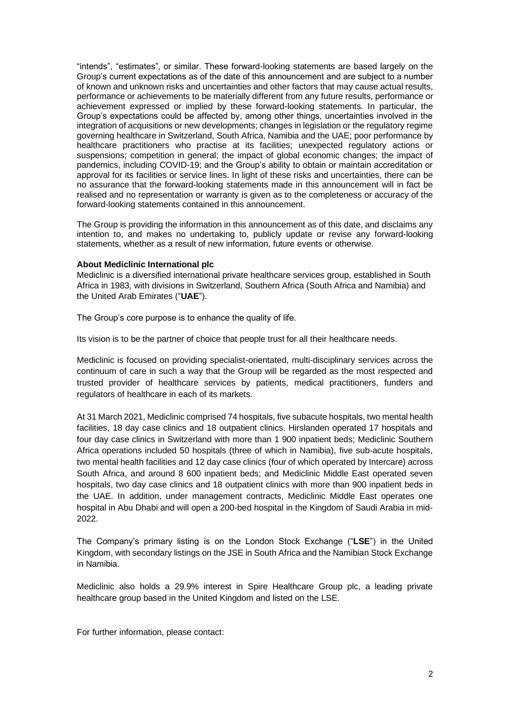"intends", "estimates", or similar. These forward-looking statements are based largely on the Group's current expectations as of the date of this announcement and are subject to a number of known and unknown risks and uncertainties and other factors that may cause actual results, performance or achievements to be materially different from any future results, performance or achievement expressed or implied by these forward-looking statements. In particular, the Group's expectations could be affected by, among other things, uncertainties involved in the integration of acquisitions or new developments; changes in legislation or the regulatory regime governing healthcare in Switzerland, South Africa, Namibia and the UAE; poor performance by healthcare practitioners who practise at its facilities; unexpected regulatory actions or suspensions; competition in general; the impact of global economic changes; the impact of pandemics, including COVID-19; and the Group's ability to obtain or maintain accreditation or approval for its facilities or service lines. In light of these risks and uncertainties, there can be no assurance that the forward-looking statements made in this announcement will in fact be realised and no representation or warranty is given as to the completeness or accuracy of the forward-looking statements contained in this announcement.

The Group is providing the information in this announcement as of this date, and disclaims any intention to, and makes no undertaking to, publicly update or revise any forward-looking statements, whether as a result of new information, future events or otherwise.

#### **About Mediclinic International plc**

Mediclinic is a diversified international private healthcare services group, established in South Africa in 1983, with divisions in Switzerland, Southern Africa (South Africa and Namibia) and the United Arab Emirates ("**UAE**").

The Group's core purpose is to enhance the quality of life.

Its vision is to be the partner of choice that people trust for all their healthcare needs.

Mediclinic is focused on providing specialist-orientated, multi-disciplinary services across the continuum of care in such a way that the Group will be regarded as the most respected and trusted provider of healthcare services by patients, medical practitioners, funders and regulators of healthcare in each of its markets.

At 31 March 2021, Mediclinic comprised 74 hospitals, five subacute hospitals, two mental health facilities, 18 day case clinics and 18 outpatient clinics. Hirslanden operated 17 hospitals and four day case clinics in Switzerland with more than 1 900 inpatient beds; Mediclinic Southern Africa operations included 50 hospitals (three of which in Namibia), five sub-acute hospitals, two mental health facilities and 12 day case clinics (four of which operated by Intercare) across South Africa, and around 8 600 inpatient beds; and Mediclinic Middle East operated seven hospitals, two day case clinics and 18 outpatient clinics with more than 900 inpatient beds in the UAE. In addition, under management contracts, Mediclinic Middle East operates one hospital in Abu Dhabi and will open a 200-bed hospital in the Kingdom of Saudi Arabia in mid-2022.

The Company's primary listing is on the London Stock Exchange ("**LSE**") in the United Kingdom, with secondary listings on the JSE in South Africa and the Namibian Stock Exchange in Namibia.

Mediclinic also holds a 29.9% interest in Spire Healthcare Group plc, a leading private healthcare group based in the United Kingdom and listed on the LSE.

For further information, please contact: